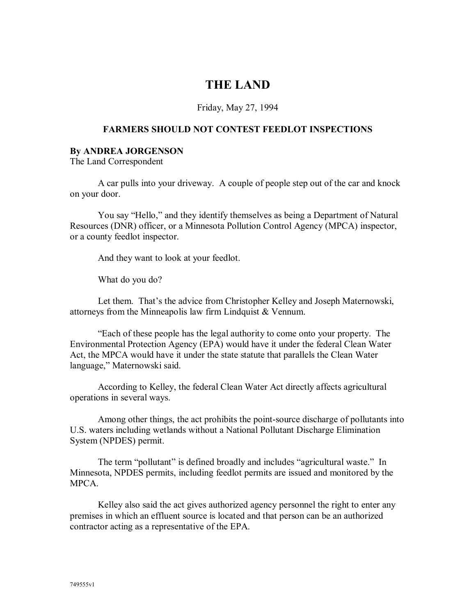## **THE LAND**

## Friday, May 27, 1994

## **FARMERS SHOULD NOT CONTEST FEEDLOT INSPECTIONS**

## **By ANDREA JORGENSON**

The Land Correspondent

A car pulls into your driveway. A couple of people step out of the car and knock on your door.

 You say "Hello," and they identify themselves as being a Department of Natural Resources (DNR) officer, or a Minnesota Pollution Control Agency (MPCA) inspector, or a county feedlot inspector.

And they want to look at your feedlot.

What do you do?

 Let them. That's the advice from Christopher Kelley and Joseph Maternowski, attorneys from the Minneapolis law firm Lindquist & Vennum.

 "Each of these people has the legal authority to come onto your property. The Environmental Protection Agency (EPA) would have it under the federal Clean Water Act, the MPCA would have it under the state statute that parallels the Clean Water language," Maternowski said.

 According to Kelley, the federal Clean Water Act directly affects agricultural operations in several ways.

 Among other things, the act prohibits the point-source discharge of pollutants into U.S. waters including wetlands without a National Pollutant Discharge Elimination System (NPDES) permit.

 The term "pollutant" is defined broadly and includes "agricultural waste." In Minnesota, NPDES permits, including feedlot permits are issued and monitored by the MPCA.

 Kelley also said the act gives authorized agency personnel the right to enter any premises in which an effluent source is located and that person can be an authorized contractor acting as a representative of the EPA.